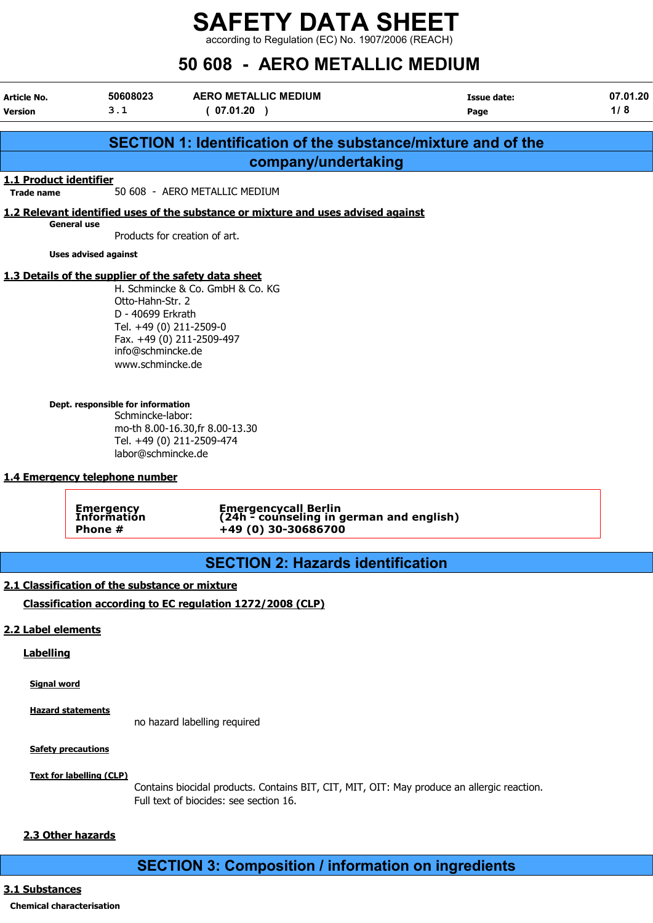according to Regulation (EC) No. 1907/2006 (REACH)

# 50 608 - AERO METALLIC MEDIUM

| Article No.<br><b>Version</b>               | 50608023<br>3.1                                                                                           | <b>AERO METALLIC MEDIUM</b><br>(07.01.20)                                               | <b>Issue date:</b><br>Page | 07.01.20<br>1/8 |  |
|---------------------------------------------|-----------------------------------------------------------------------------------------------------------|-----------------------------------------------------------------------------------------|----------------------------|-----------------|--|
|                                             |                                                                                                           | SECTION 1: Identification of the substance/mixture and of the                           |                            |                 |  |
|                                             |                                                                                                           | company/undertaking                                                                     |                            |                 |  |
| 1.1 Product identifier<br><b>Trade name</b> |                                                                                                           | 50 608 - AERO METALLIC MEDIUM                                                           |                            |                 |  |
|                                             |                                                                                                           | 1.2 Relevant identified uses of the substance or mixture and uses advised against       |                            |                 |  |
|                                             | <b>General use</b>                                                                                        | Products for creation of art.                                                           |                            |                 |  |
|                                             | <b>Uses advised against</b>                                                                               |                                                                                         |                            |                 |  |
|                                             | 1.3 Details of the supplier of the safety data sheet                                                      |                                                                                         |                            |                 |  |
|                                             | Otto-Hahn-Str. 2<br>D - 40699 Erkrath<br>Tel. +49 (0) 211-2509-0<br>info@schmincke.de<br>www.schmincke.de | H. Schmincke & Co. GmbH & Co. KG<br>Fax. +49 (0) 211-2509-497                           |                            |                 |  |
|                                             | Dept. responsible for information<br>Schmincke-labor:<br>labor@schmincke.de                               | mo-th 8.00-16.30, fr 8.00-13.30<br>Tel. +49 (0) 211-2509-474                            |                            |                 |  |
|                                             | 1.4 Emergency telephone number                                                                            |                                                                                         |                            |                 |  |
|                                             | <b>Emergency</b><br>Information<br>Phone #                                                                | Emergencycall Berlin<br>(24h - counseling in german and english)<br>+49 (0) 30-30686700 |                            |                 |  |
|                                             |                                                                                                           | <b>SECTION 2: Hazards identification</b>                                                |                            |                 |  |
|                                             | 2.1 Classification of the substance or mixture                                                            |                                                                                         |                            |                 |  |
|                                             |                                                                                                           | Classification according to EC regulation 1272/2008 (CLP)                               |                            |                 |  |
| 2.2 Label elements                          |                                                                                                           |                                                                                         |                            |                 |  |
| <b>Labelling</b>                            |                                                                                                           |                                                                                         |                            |                 |  |
| <b>Signal word</b>                          |                                                                                                           |                                                                                         |                            |                 |  |
|                                             | <b>Hazard statements</b>                                                                                  | no hazard labelling required                                                            |                            |                 |  |
|                                             | <b>Safety precautions</b>                                                                                 |                                                                                         |                            |                 |  |

Text for labelling (CLP)

Contains biocidal products. Contains BIT, CIT, MIT, OIT: May produce an allergic reaction. Full text of biocides: see section 16.

### 2.3 Other hazards

# SECTION 3: Composition / information on ingredients

## 3.1 Substances

## Chemical characterisation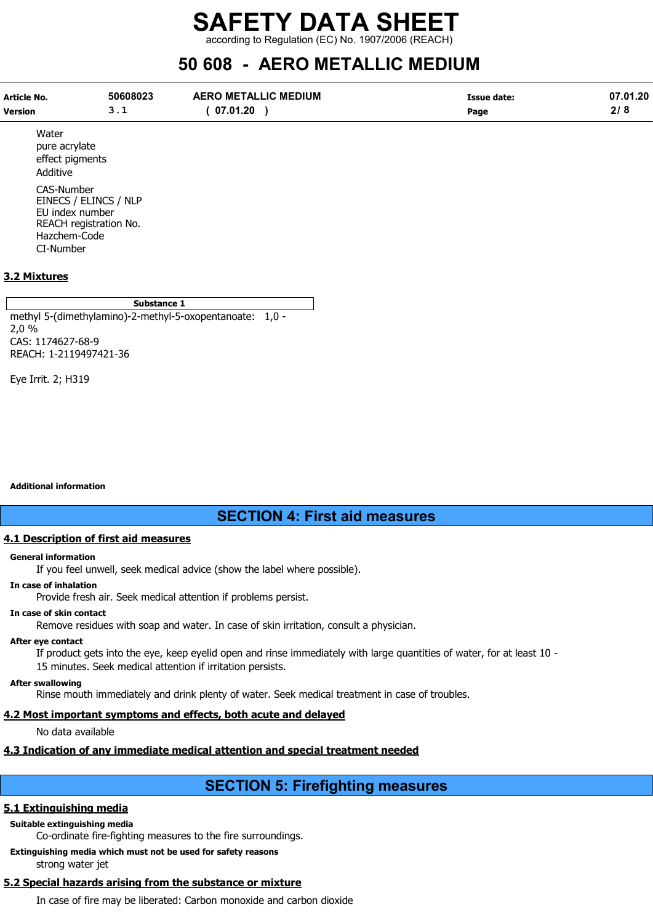according to Regulation (EC) No. 1907/2006 (REACH)

# 50 608 - AERO METALLIC MEDIUM

| Article No. | 50608023 | <b>AERO METALLIC MEDIUM</b> | Issue date: | 07.01.20  |
|-------------|----------|-----------------------------|-------------|-----------|
| Version     |          | 07.01.20                    | Page        | $\bullet$ |

Water pure acrylate effect pigments Additive

CAS-Number EINECS / ELINCS / NLP EU index number REACH registration No. Hazchem-Code CI-Number

#### 3.2 Mixtures

#### Substance 1

methyl 5-(dimethylamino)-2-methyl-5-oxopentanoate: 1,0 - 2,0 % CAS: 1174627-68-9 REACH: 1-2119497421-36

Eye Irrit. 2; H319

#### Additional information

# SECTION 4: First aid measures

#### 4.1 Description of first aid measures

#### General information

If you feel unwell, seek medical advice (show the label where possible).

#### In case of inhalation

Provide fresh air. Seek medical attention if problems persist.

#### In case of skin contact

Remove residues with soap and water. In case of skin irritation, consult a physician.

#### After eye contact

If product gets into the eye, keep eyelid open and rinse immediately with large quantities of water, for at least 10 - 15 minutes. Seek medical attention if irritation persists.

#### After swallowing

Rinse mouth immediately and drink plenty of water. Seek medical treatment in case of troubles.

#### 4.2 Most important symptoms and effects, both acute and delayed

No data available

## 4.3 Indication of any immediate medical attention and special treatment needed

# SECTION 5: Firefighting measures

## 5.1 Extinguishing media

## Suitable extinguishing media

Co-ordinate fire-fighting measures to the fire surroundings.

Extinguishing media which must not be used for safety reasons

strong water jet

# 5.2 Special hazards arising from the substance or mixture

In case of fire may be liberated: Carbon monoxide and carbon dioxide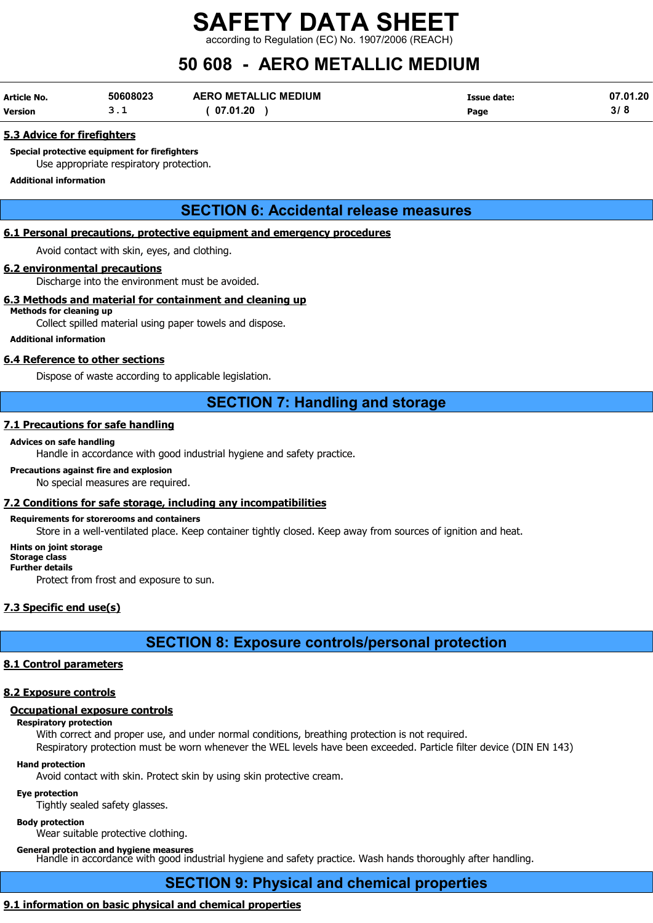rding to Regulation (EC) No. 1907/2006 (REACH)

# 50 608 - AERO METALLIC MEDIUM

| Article No. | 50608023 | <b>AERO METALLIC MEDIUM</b> | Issue date: | 07.01.20 |
|-------------|----------|-----------------------------|-------------|----------|
| Version     | ـ        | 07.01.20                    | Page        |          |

#### 5.3 Advice for firefighters

Special protective equipment for firefighters Use appropriate respiratory protection.

#### Additional information

# SECTION 6: Accidental release measures

#### 6.1 Personal precautions, protective equipment and emergency procedures

Avoid contact with skin, eyes, and clothing.

#### 6.2 environmental precautions

Discharge into the environment must be avoided.

#### 6.3 Methods and material for containment and cleaning up

## Methods for cleaning up

Collect spilled material using paper towels and dispose.

#### Additional information

#### 6.4 Reference to other sections

Dispose of waste according to applicable legislation.

# SECTION 7: Handling and storage

#### 7.1 Precautions for safe handling

#### Advices on safe handling

Handle in accordance with good industrial hygiene and safety practice.

#### Precautions against fire and explosion

No special measures are required.

## 7.2 Conditions for safe storage, including any incompatibilities

#### Requirements for storerooms and containers

Store in a well-ventilated place. Keep container tightly closed. Keep away from sources of ignition and heat.

#### Hints on joint storage

#### Storage class Further details

Protect from frost and exposure to sun.

# 7.3 Specific end use(s)

# SECTION 8: Exposure controls/personal protection

## 8.1 Control parameters

## 8.2 Exposure controls

# Occupational exposure controls

Respiratory protection

With correct and proper use, and under normal conditions, breathing protection is not required.

Respiratory protection must be worn whenever the WEL levels have been exceeded. Particle filter device (DIN EN 143) Hand protection

Avoid contact with skin. Protect skin by using skin protective cream.

#### Eye protection

Tightly sealed safety glasses.

#### Body protection

Wear suitable protective clothing.

General protection and hygiene measures

Handle in accordance with good industrial hygiene and safety practice. Wash hands thoroughly after handling.

# SECTION 9: Physical and chemical properties

# 9.1 information on basic physical and chemical properties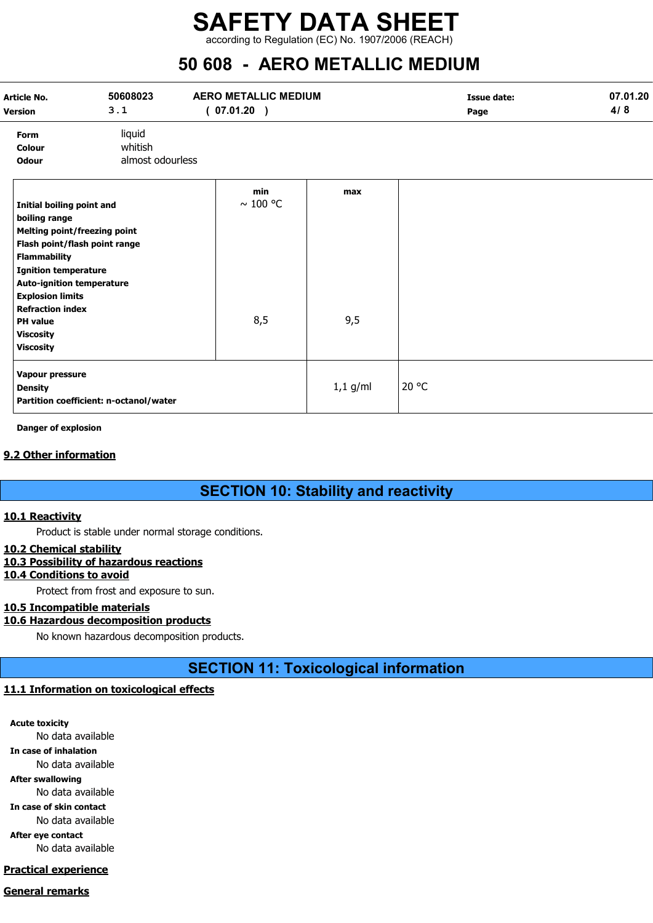according to Regulation (EC) No. 1907/2006 (REACH)

# 50 608 - AERO METALLIC MEDIUM

| Article No.<br><b>Version</b>                                                                                                                                                              | 50608023<br>3.1                                                      | <b>AERO METALLIC MEDIUM</b><br>(07.01.20) |            | <b>Issue date:</b><br>Page | 07.01.20<br>4/8 |
|--------------------------------------------------------------------------------------------------------------------------------------------------------------------------------------------|----------------------------------------------------------------------|-------------------------------------------|------------|----------------------------|-----------------|
| Form<br>Colour<br><b>Odour</b>                                                                                                                                                             | liquid<br>whitish<br>almost odourless                                |                                           |            |                            |                 |
| Initial boiling point and<br>boiling range<br><b>Flammability</b><br><b>Ignition temperature</b><br><b>Auto-ignition temperature</b><br><b>Explosion limits</b><br><b>Refraction index</b> | <b>Melting point/freezing point</b><br>Flash point/flash point range | min<br>$\sim$ 100 °C                      | max        |                            |                 |
| <b>PH</b> value<br><b>Viscosity</b><br><b>Viscosity</b>                                                                                                                                    |                                                                      | 8,5                                       | 9,5        |                            |                 |
| Vapour pressure<br><b>Density</b>                                                                                                                                                          | Partition coefficient: n-octanol/water                               |                                           | $1,1$ g/ml | 20 °C                      |                 |

Danger of explosion

#### 9.2 Other information

# SECTION 10: Stability and reactivity

#### 10.1 Reactivity

Product is stable under normal storage conditions.

#### 10.2 Chemical stability

#### 10.3 Possibility of hazardous reactions

10.4 Conditions to avoid

Protect from frost and exposure to sun.

#### 10.5 Incompatible materials

#### 10.6 Hazardous decomposition products

No known hazardous decomposition products.

SECTION 11: Toxicological information

#### 11.1 Information on toxicological effects

Acute toxicity

No data available

In case of inhalation

No data available After swallowing

No data available

In case of skin contact

No data available After eye contact

No data available

#### Practical experience

#### General remarks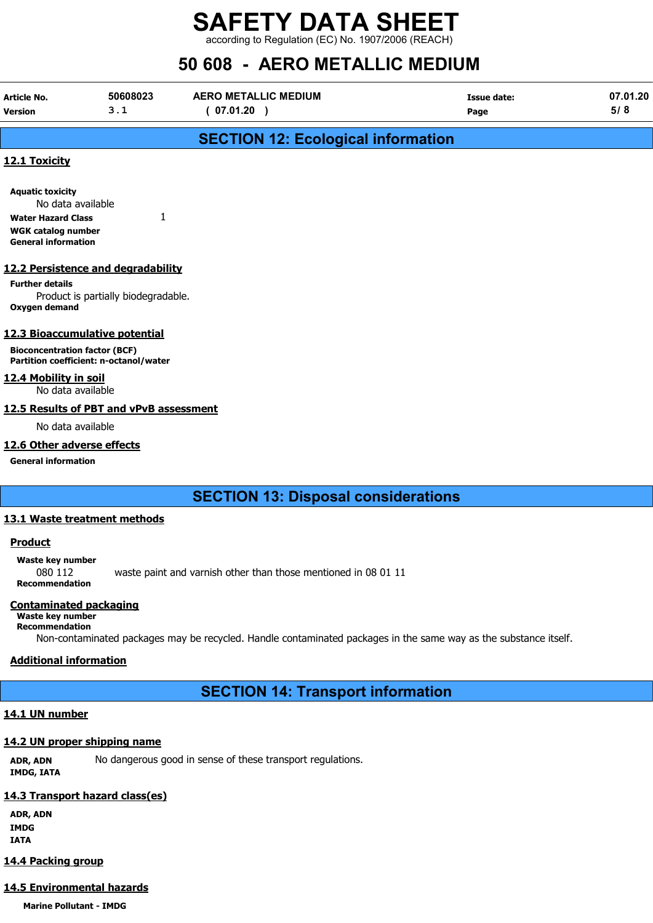according to Regulation (EC) No. 1907/2006 (REACH)

# 50 608 - AERO METALLIC MEDIUM

| Article No.    | 50608023 | <b>AERO METALLIC MEDIUM</b> | Issue date: | 07.01.20 |
|----------------|----------|-----------------------------|-------------|----------|
| <b>Version</b> | ــ . ـ   | 07.01.20                    | Page        | 5/8      |
|                |          |                             |             |          |

# SECTION 12: Ecological information

#### 12.1 Toxicity

| <b>Aquatic toxicity</b>    |  |  |
|----------------------------|--|--|
| No data available          |  |  |
| <b>Water Hazard Class</b>  |  |  |
| WGK catalog number         |  |  |
| <b>General information</b> |  |  |

#### 12.2 Persistence and degradability

Further details Product is partially biodegradable. Oxygen demand

#### 12.3 Bioaccumulative potential

Bioconcentration factor (BCF) Partition coefficient: n-octanol/water

#### 12.4 Mobility in soil

No data available

#### 12.5 Results of PBT and vPvB assessment

No data available

#### 12.6 Other adverse effects

General information

# SECTION 13: Disposal considerations

#### 13.1 Waste treatment methods

#### **Product**

Waste key number

080 112 waste paint and varnish other than those mentioned in 08 01 11 Recommendation

#### Contaminated packaging

# Waste key number

Recommendation

Non-contaminated packages may be recycled. Handle contaminated packages in the same way as the substance itself.

#### Additional information

# SECTION 14: Transport information

#### 14.1 UN number

## 14.2 UN proper shipping name

ADR, ADN No dangerous good in sense of these transport regulations. IMDG, IATA

## 14.3 Transport hazard class(es)

ADR, ADN IMDG IATA

## 14.4 Packing group

# 14.5 Environmental hazards

Marine Pollutant - IMDG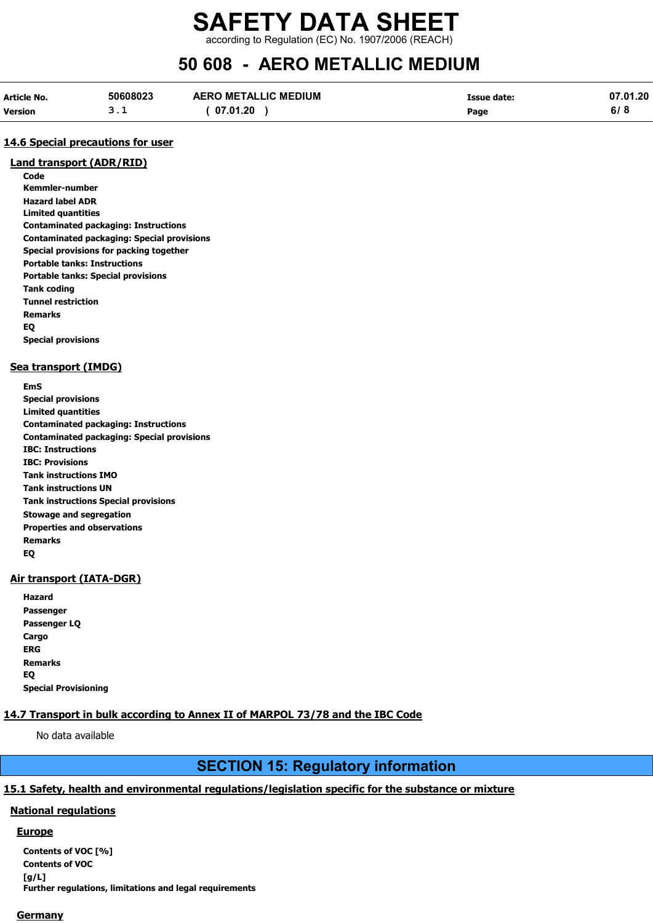according to Regulation (EC) No. 1907/2006 (REACH)

# 50 608 - AERO METALLIC MEDIUM

| <b>Article No.</b> | 50608023 | <b>AERO METALLIC MEDIUM</b> | Issue date: | 07.01.20 |
|--------------------|----------|-----------------------------|-------------|----------|
| <b>Version</b>     |          | 07.01.20                    | Page        | 6/8      |

#### 14.6 Special precautions for user

#### Land transport (ADR/RID)

Code Kemmler-number Hazard label ADR Limited quantities Contaminated packaging: Instructions Contaminated packaging: Special provisions Special provisions for packing together Portable tanks: Instructions Portable tanks: Special provisions Tank coding Tunnel restriction Remarks EQ Special provisions

#### Sea transport (IMDG)

EmS Special provisions Limited quantities Contaminated packaging: Instructions Contaminated packaging: Special provisions IBC: Instructions IBC: Provisions Tank instructions IMO Tank instructions UN Tank instructions Special provisions Stowage and segregation Properties and observations Remarks EQ

#### Air transport (IATA-DGR)

| Hazard                      |
|-----------------------------|
| Passenger                   |
| Passenger LQ                |
| Cargo                       |
| ERG                         |
| Remarks                     |
| EQ                          |
| <b>Special Provisioning</b> |

#### 14.7 Transport in bulk according to Annex II of MARPOL 73/78 and the IBC Code

No data available

# SECTION 15: Regulatory information

#### 15.1 Safety, health and environmental regulations/legislation specific for the substance or mixture

#### National regulations

#### **Europe**

Contents of VOC [%] Contents of VOC  $[a/L]$ Further regulations, limitations and legal requirements

#### **Germany**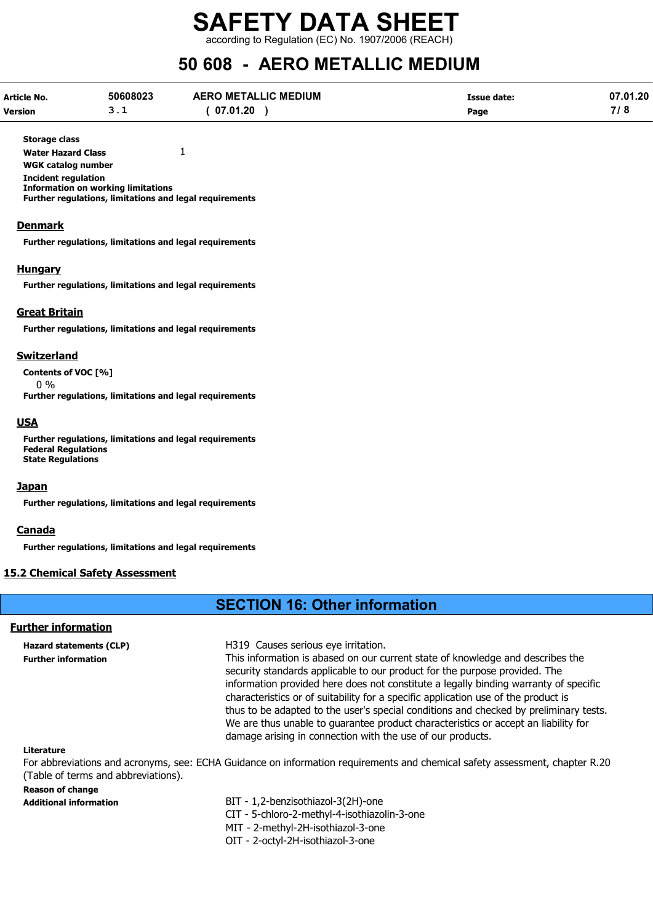according to Regulation (EC) No. 1907/2006 (REACH)

# 50 608 - AERO METALLIC MEDIUM

| Article No.    | 50608023 | <b>AERO METALLIC MEDIUM</b> | Issue date: | 07.01.20 |
|----------------|----------|-----------------------------|-------------|----------|
| <b>Version</b> | <u>.</u> | 07.01.20                    | Page        | 718      |

Storage class

Water Hazard Class 1 WGK catalog number Incident regulation

Information on working limitations

Further regulations, limitations and legal requirements

#### **Denmark**

Further regulations, limitations and legal requirements

#### **Hungary**

Further regulations, limitations and legal requirements

#### Great Britain

Further regulations, limitations and legal requirements

#### Switzerland

Contents of VOC [%]

0 %

Further regulations, limitations and legal requirements

#### USA

Further regulations, limitations and legal requirements Federal Regulations State Regulations

#### **Japan**

Further regulations, limitations and legal requirements

#### Canada

Further regulations, limitations and legal requirements

#### 15.2 Chemical Safety Assessment

# SECTION 16: Other information

#### Further information

Hazard statements (CLP) H319 Causes serious eye irritation.

Further information This information is abased on our current state of knowledge and describes the security standards applicable to our product for the purpose provided. The information provided here does not constitute a legally binding warranty of specific characteristics or of suitability for a specific application use of the product is thus to be adapted to the user's special conditions and checked by preliminary tests. We are thus unable to guarantee product characteristics or accept an liability for damage arising in connection with the use of our products.

#### Literature

For abbreviations and acronyms, see: ECHA Guidance on information requirements and chemical safety assessment, chapter R.20 (Table of terms and abbreviations).

#### Reason of change

Additional information BIT - 1,2-benzisothiazol-3(2H)-one CIT - 5-chloro-2-methyl-4-isothiazolin-3-one MIT - 2-methyl-2H-isothiazol-3-one OIT - 2-octyl-2H-isothiazol-3-one